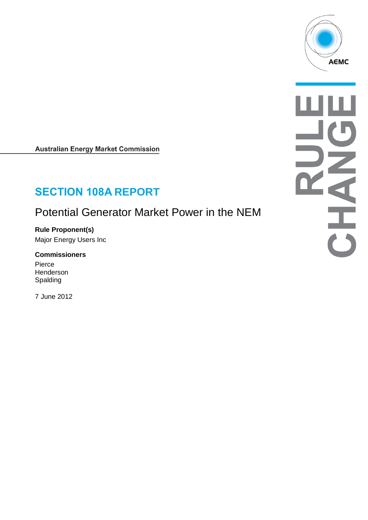

**Australian Energy Market Commission** 

# **SECTION 108A REPORT**

## Potential Generator Market Power in the NEM

**Rule Proponent(s)** Major Energy Users Inc

**Commissioners** Pierce

Henderson Spalding

7 June 2012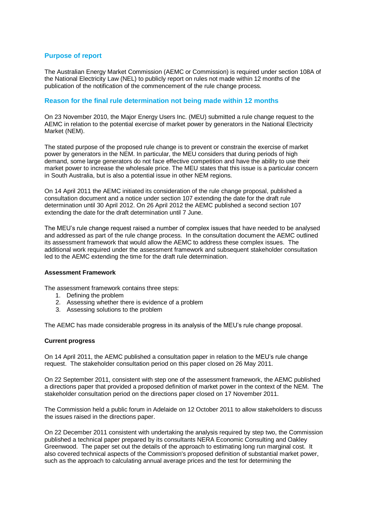## **Purpose of report**

The Australian Energy Market Commission (AEMC or Commission) is required under section 108A of the National Electricity Law (NEL) to publicly report on rules not made within 12 months of the publication of the notification of the commencement of the rule change process.

### **Reason for the final rule determination not being made within 12 months**

On 23 November 2010, the Major Energy Users Inc. (MEU) submitted a rule change request to the AEMC in relation to the potential exercise of market power by generators in the National Electricity Market (NEM).

The stated purpose of the proposed rule change is to prevent or constrain the exercise of market power by generators in the NEM. In particular, the MEU considers that during periods of high demand, some large generators do not face effective competition and have the ability to use their market power to increase the wholesale price. The MEU states that this issue is a particular concern in South Australia, but is also a potential issue in other NEM regions.

On 14 April 2011 the AEMC initiated its consideration of the rule change proposal, published a consultation document and a notice under section 107 extending the date for the draft rule determination until 30 April 2012. On 26 April 2012 the AEMC published a second section 107 extending the date for the draft determination until 7 June.

The MEU's rule change request raised a number of complex issues that have needed to be analysed and addressed as part of the rule change process. In the consultation document the AEMC outlined its assessment framework that would allow the AEMC to address these complex issues. The additional work required under the assessment framework and subsequent stakeholder consultation led to the AEMC extending the time for the draft rule determination.

#### **Assessment Framework**

The assessment framework contains three steps:

- 1. Defining the problem
- 2. Assessing whether there is evidence of a problem
- 3. Assessing solutions to the problem

The AEMC has made considerable progress in its analysis of the MEU's rule change proposal.

#### **Current progress**

On 14 April 2011, the AEMC published a consultation paper in relation to the MEU's rule change request. The stakeholder consultation period on this paper closed on 26 May 2011.

On 22 September 2011, consistent with step one of the assessment framework, the AEMC published a directions paper that provided a proposed definition of market power in the context of the NEM. The stakeholder consultation period on the directions paper closed on 17 November 2011.

The Commission held a public forum in Adelaide on 12 October 2011 to allow stakeholders to discuss the issues raised in the directions paper.

On 22 December 2011 consistent with undertaking the analysis required by step two, the Commission published a technical paper prepared by its consultants NERA Economic Consulting and Oakley Greenwood. The paper set out the details of the approach to estimating long run marginal cost. It also covered technical aspects of the Commission's proposed definition of substantial market power, such as the approach to calculating annual average prices and the test for determining the